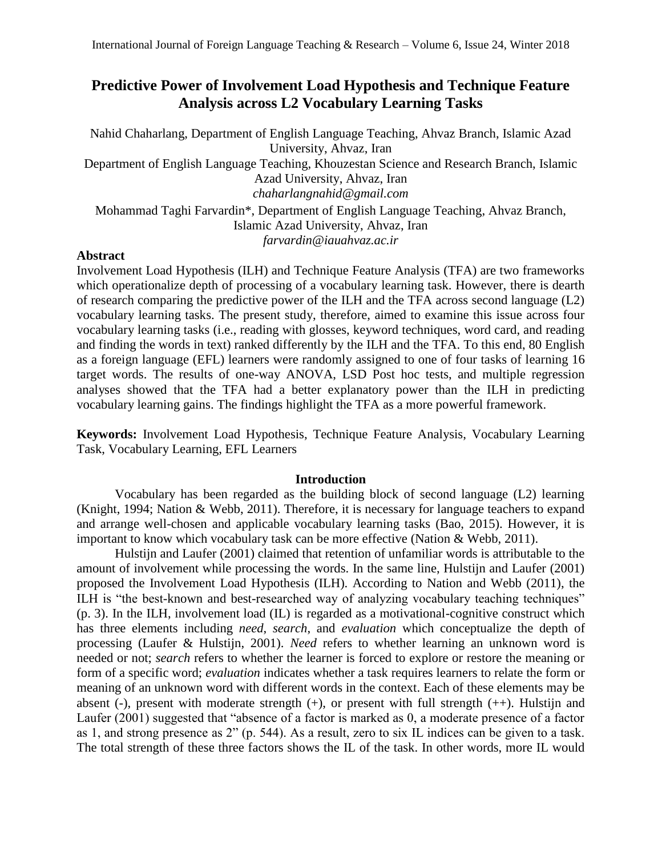# **Predictive Power of Involvement Load Hypothesis and Technique Feature Analysis across L2 Vocabulary Learning Tasks**

Nahid Chaharlang, Department of English Language Teaching, Ahvaz Branch, Islamic Azad University, Ahvaz, Iran Department of English Language Teaching, Khouzestan Science and Research Branch, Islamic Azad University, Ahvaz, Iran *[chaharlangnahid@gmail.com](mailto:chaharlangnahid@gmail.com)* Mohammad Taghi Farvardin\*, Department of English Language Teaching, Ahvaz Branch, Islamic Azad University, Ahvaz, Iran *[farvardin@iauahvaz.ac.ir](mailto:farvardin@iauahvaz.ac.ir)*

# **Abstract**

Involvement Load Hypothesis (ILH) and Technique Feature Analysis (TFA) are two frameworks which operationalize depth of processing of a vocabulary learning task. However, there is dearth of research comparing the predictive power of the ILH and the TFA across second language (L2) vocabulary learning tasks. The present study, therefore, aimed to examine this issue across four vocabulary learning tasks (i.e., reading with glosses, keyword techniques, word card, and reading and finding the words in text) ranked differently by the ILH and the TFA. To this end, 80 English as a foreign language (EFL) learners were randomly assigned to one of four tasks of learning 16 target words. The results of one-way ANOVA, LSD Post hoc tests, and multiple regression analyses showed that the TFA had a better explanatory power than the ILH in predicting vocabulary learning gains. The findings highlight the TFA as a more powerful framework.

**Keywords:** Involvement Load Hypothesis, Technique Feature Analysis, Vocabulary Learning Task, Vocabulary Learning, EFL Learners

# **Introduction**

Vocabulary has been regarded as the building block of second language (L2) learning (Knight, 1994; Nation & Webb, 2011). Therefore, it is necessary for language teachers to expand and arrange well-chosen and applicable vocabulary learning tasks (Bao, 2015). However, it is important to know which vocabulary task can be more effective (Nation & Webb, 2011).

Hulstijn and Laufer (2001) claimed that retention of unfamiliar words is attributable to the amount of involvement while processing the words. In the same line, Hulstijn and Laufer (2001) proposed the Involvement Load Hypothesis (ILH). According to Nation and Webb (2011), the ILH is "the best-known and best-researched way of analyzing vocabulary teaching techniques" (p. 3). In the ILH, involvement load (IL) is regarded as a motivational-cognitive construct which has three elements including *need*, *search*, and *evaluation* which conceptualize the depth of processing (Laufer & Hulstijn, 2001). *Need* refers to whether learning an unknown word is needed or not; *search* refers to whether the learner is forced to explore or restore the meaning or form of a specific word; *evaluation* indicates whether a task requires learners to relate the form or meaning of an unknown word with different words in the context. Each of these elements may be absent (-), present with moderate strength  $(+)$ , or present with full strength  $(++)$ . Hulstijn and Laufer (2001) suggested that "absence of a factor is marked as 0, a moderate presence of a factor as 1, and strong presence as 2" (p. 544). As a result, zero to six IL indices can be given to a task. The total strength of these three factors shows the IL of the task. In other words, more IL would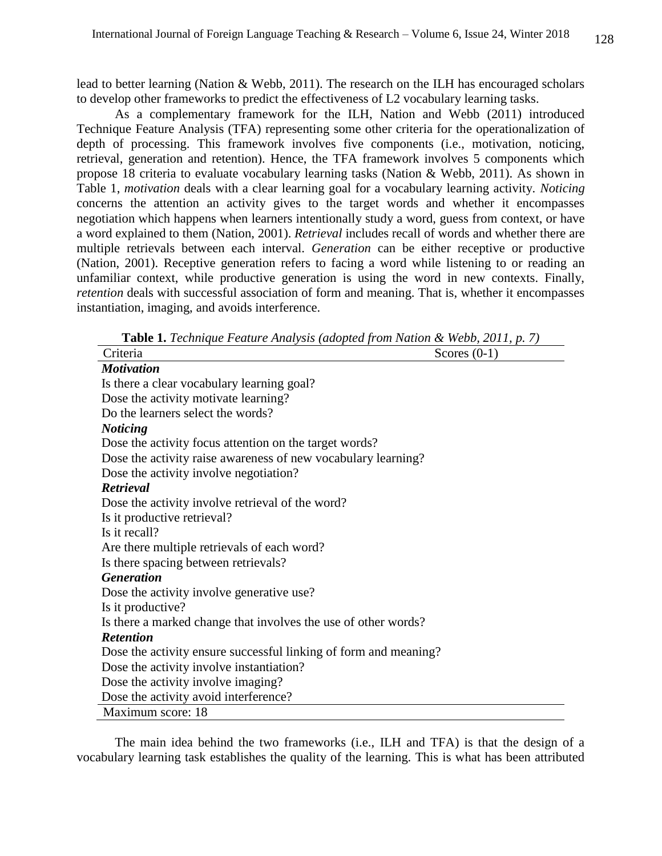lead to better learning (Nation & Webb, 2011). The research on the ILH has encouraged scholars to develop other frameworks to predict the effectiveness of L2 vocabulary learning tasks.

As a complementary framework for the ILH, Nation and Webb (2011) introduced Technique Feature Analysis (TFA) representing some other criteria for the operationalization of depth of processing. This framework involves five components (i.e., motivation, noticing, retrieval, generation and retention). Hence, the TFA framework involves 5 components which propose 18 criteria to evaluate vocabulary learning tasks (Nation & Webb, 2011). As shown in [Table 1,](http://www.sciencedirect.com/science/article/pii/S0346251X15001700#tbl1) *motivation* deals with a clear learning goal for a vocabulary learning activity. *Noticing* concerns the attention an activity gives to the target words and whether it encompasses negotiation which happens when learners intentionally study a word, guess from context, or have a word explained to them [\(Nation, 2001\)](http://www.sciencedirect.com/science/article/pii/S0346251X15001700#bib24). *Retrieval* includes recall of words and whether there are multiple retrievals between each interval. *Generation* can be either receptive or productive [\(Nation, 2001\)](http://www.sciencedirect.com/science/article/pii/S0346251X15001700#bib24). Receptive generation refers to facing a word while listening to or reading an unfamiliar context, while productive generation is using the word in new contexts. Finally, *retention* deals with successful association of form and meaning. That is, whether it encompasses instantiation, imaging, and avoids interference.

| <b>Table 1.</b> Lectingue Pearline Analysis (adopted from Nation $\alpha$ webb, 2011, p. 7) |                |
|---------------------------------------------------------------------------------------------|----------------|
| Criteria                                                                                    | Scores $(0-1)$ |
| <b>Motivation</b>                                                                           |                |
| Is there a clear vocabulary learning goal?                                                  |                |
| Dose the activity motivate learning?                                                        |                |
| Do the learners select the words?                                                           |                |
| <b>Noticing</b>                                                                             |                |
| Dose the activity focus attention on the target words?                                      |                |
| Dose the activity raise awareness of new vocabulary learning?                               |                |
| Dose the activity involve negotiation?                                                      |                |
| Retrieval                                                                                   |                |
| Dose the activity involve retrieval of the word?                                            |                |
| Is it productive retrieval?                                                                 |                |
| Is it recall?                                                                               |                |
| Are there multiple retrievals of each word?                                                 |                |
| Is there spacing between retrievals?                                                        |                |
| <b>Generation</b>                                                                           |                |
| Dose the activity involve generative use?                                                   |                |
| Is it productive?                                                                           |                |
| Is there a marked change that involves the use of other words?                              |                |
| <b>Retention</b>                                                                            |                |
| Dose the activity ensure successful linking of form and meaning?                            |                |
| Dose the activity involve instantiation?                                                    |                |
| Dose the activity involve imaging?                                                          |                |
| Dose the activity avoid interference?                                                       |                |
| Maximum score: 18                                                                           |                |

**Table 1.** *Technique Feature Analysis (adopted from Nation & Webb, 2011, p. 7)*

The main idea behind the two frameworks (i.e., ILH and TFA) is that the design of a vocabulary learning task establishes the quality of the learning. This is what has been attributed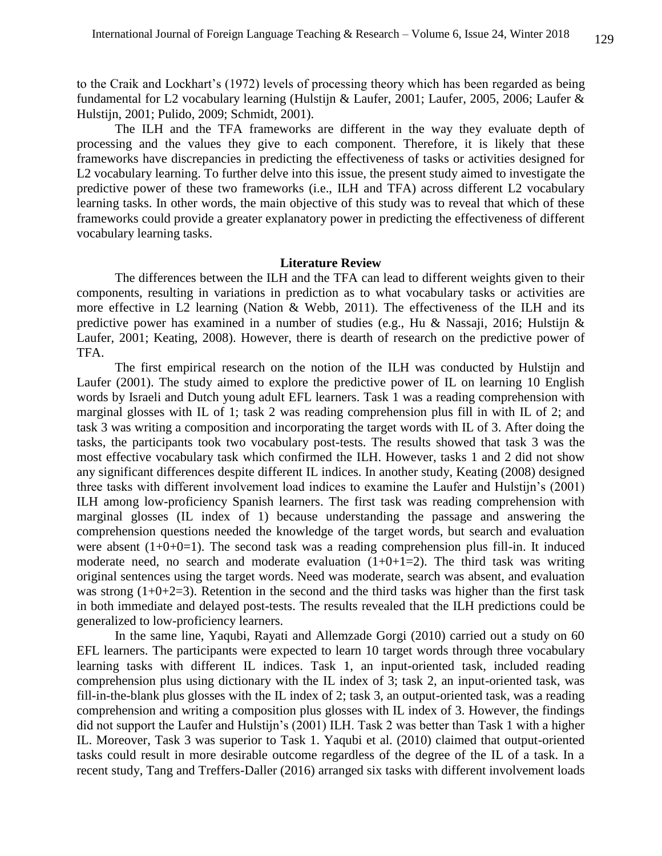to the Craik and Lockhart's (1972) levels of processing theory which has been regarded as being fundamental for L2 vocabulary learning (Hulstijn & Laufer, 2001; Laufer, 2005, 2006; Laufer & Hulstijn, 2001; Pulido, 2009; Schmidt, 2001).

The ILH and the TFA frameworks are different in the way they evaluate depth of processing and the values they give to each component. Therefore, it is likely that these frameworks have discrepancies in predicting the effectiveness of tasks or activities designed for L2 vocabulary learning. To further delve into this issue, the present study aimed to investigate the predictive power of these two frameworks (i.e., ILH and TFA) across different L2 vocabulary learning tasks. In other words, the main objective of this study was to reveal that which of these frameworks could provide a greater explanatory power in predicting the effectiveness of different vocabulary learning tasks.

### **Literature Review**

The differences between the ILH and the TFA can lead to different weights given to their components, resulting in variations in prediction as to what vocabulary tasks or activities are more effective in L2 learning (Nation & Webb, 2011). The effectiveness of the ILH and its predictive power has examined in a number of studies (e.g., Hu & Nassaji, 2016; Hulstijn & Laufer, 2001; Keating, 2008). However, there is dearth of research on the predictive power of TFA.

The first empirical research on the notion of the ILH was conducted by Hulstijn and Laufer (2001). The study aimed to explore the predictive power of IL on learning 10 English words by Israeli and Dutch young adult EFL learners. Task 1 was a reading comprehension with marginal glosses with IL of 1; task 2 was reading comprehension plus fill in with IL of 2; and task 3 was writing a composition and incorporating the target words with IL of 3. After doing the tasks, the participants took two vocabulary post-tests. The results showed that task 3 was the most effective vocabulary task which confirmed the ILH. However, tasks 1 and 2 did not show any significant differences despite different IL indices. In another study, Keating (2008) designed three tasks with different involvement load indices to examine the Laufer and Hulstijn's (2001) ILH among low-proficiency Spanish learners. The first task was reading comprehension with marginal glosses (IL index of 1) because understanding the passage and answering the comprehension questions needed the knowledge of the target words, but search and evaluation were absent  $(1+0+0=1)$ . The second task was a reading comprehension plus fill-in. It induced moderate need, no search and moderate evaluation  $(1+0+1=2)$ . The third task was writing original sentences using the target words. Need was moderate, search was absent, and evaluation was strong  $(1+0+2=3)$ . Retention in the second and the third tasks was higher than the first task in both immediate and delayed post-tests. The results revealed that the ILH predictions could be generalized to low-proficiency learners.

In the same line, Yaqubi, Rayati and Allemzade Gorgi (2010) carried out a study on 60 EFL learners. The participants were expected to learn 10 target words through three vocabulary learning tasks with different IL indices. Task 1, an input-oriented task, included reading comprehension plus using dictionary with the IL index of 3; task 2, an input-oriented task, was fill-in-the-blank plus glosses with the IL index of 2; task 3, an output-oriented task, was a reading comprehension and writing a composition plus glosses with IL index of 3. However, the findings did not support the Laufer and Hulstijn's (2001) ILH. Task 2 was better than Task 1 with a higher IL. Moreover, Task 3 was superior to Task 1. Yaqubi et al. (2010) claimed that output-oriented tasks could result in more desirable outcome regardless of the degree of the IL of a task. In a recent study, Tang and Treffers-Daller (2016) arranged six tasks with different involvement loads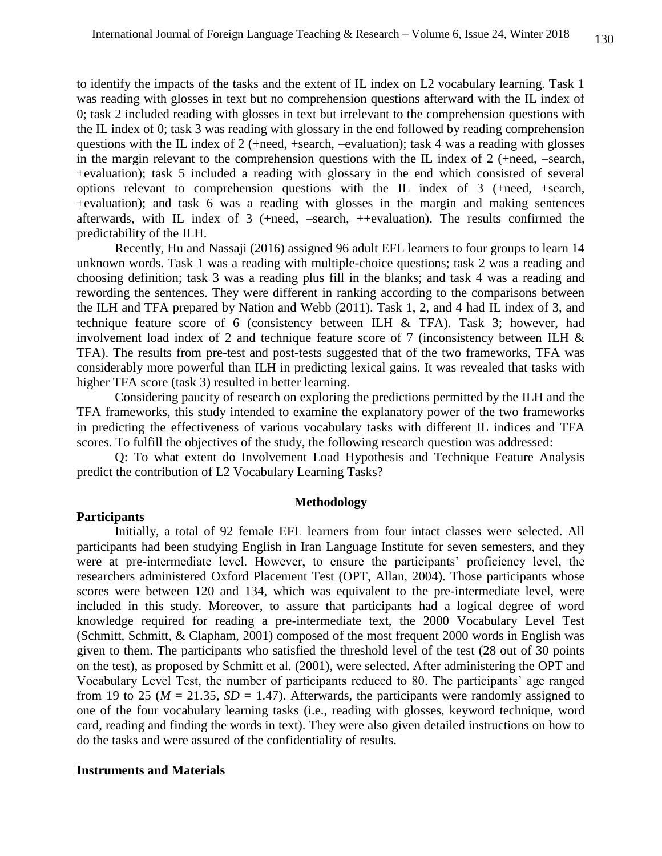to identify the impacts of the tasks and the extent of IL index on L2 vocabulary learning. Task 1 was reading with glosses in text but no comprehension questions afterward with the IL index of 0; task 2 included reading with glosses in text but irrelevant to the comprehension questions with the IL index of 0; task 3 was reading with glossary in the end followed by reading comprehension questions with the IL index of 2 (+need, +search, –evaluation); task 4 was a reading with glosses in the margin relevant to the comprehension questions with the IL index of 2 (+need, –search, +evaluation); task 5 included a reading with glossary in the end which consisted of several options relevant to comprehension questions with the IL index of 3 (+need, +search, +evaluation); and task 6 was a reading with glosses in the margin and making sentences afterwards, with IL index of 3 (+need, –search, ++evaluation). The results confirmed the predictability of the ILH.

Recently, Hu and Nassaji (2016) assigned 96 adult EFL learners to four groups to learn 14 unknown words. Task 1 was a reading with multiple-choice questions; task 2 was a reading and choosing definition; task 3 was a reading plus fill in the blanks; and task 4 was a reading and rewording the sentences. They were different in ranking according to the comparisons between the ILH and TFA prepared by Nation and Webb (2011). Task 1, 2, and 4 had IL index of 3, and technique feature score of 6 (consistency between ILH & TFA). Task 3; however, had involvement load index of 2 and technique feature score of 7 (inconsistency between ILH & TFA). The results from pre-test and post-tests suggested that of the two frameworks, TFA was considerably more powerful than ILH in predicting lexical gains. It was revealed that tasks with higher TFA score (task 3) resulted in better learning.

Considering paucity of research on exploring the predictions permitted by the ILH and the TFA frameworks, this study intended to examine the explanatory power of the two frameworks in predicting the effectiveness of various vocabulary tasks with different IL indices and TFA scores. To fulfill the objectives of the study, the following research question was addressed:

Q: To what extent do Involvement Load Hypothesis and Technique Feature Analysis predict the contribution of L2 Vocabulary Learning Tasks?

#### **Methodology**

# **Participants**

Initially, a total of 92 female EFL learners from four intact classes were selected. All participants had been studying English in Iran Language Institute for seven semesters, and they were at pre-intermediate level. However, to ensure the participants' proficiency level, the researchers administered Oxford Placement Test (OPT, Allan, 2004). Those participants whose scores were between 120 and 134, which was equivalent to the pre-intermediate level, were included in this study. Moreover, to assure that participants had a logical degree of word knowledge required for reading a pre-intermediate text, the 2000 Vocabulary Level Test (Schmitt, Schmitt, & Clapham, 2001) composed of the most frequent 2000 words in English was given to them. The participants who satisfied the threshold level of the test (28 out of 30 points on the test), as proposed by Schmitt et al. (2001), were selected. After administering the OPT and Vocabulary Level Test, the number of participants reduced to 80. The participants' age ranged from 19 to 25 ( $M = 21.35$ ,  $SD = 1.47$ ). Afterwards, the participants were randomly assigned to one of the four vocabulary learning tasks (i.e., reading with glosses, keyword technique, word card, reading and finding the words in text). They were also given detailed instructions on how to do the tasks and were assured of the confidentiality of results.

### **Instruments and Materials**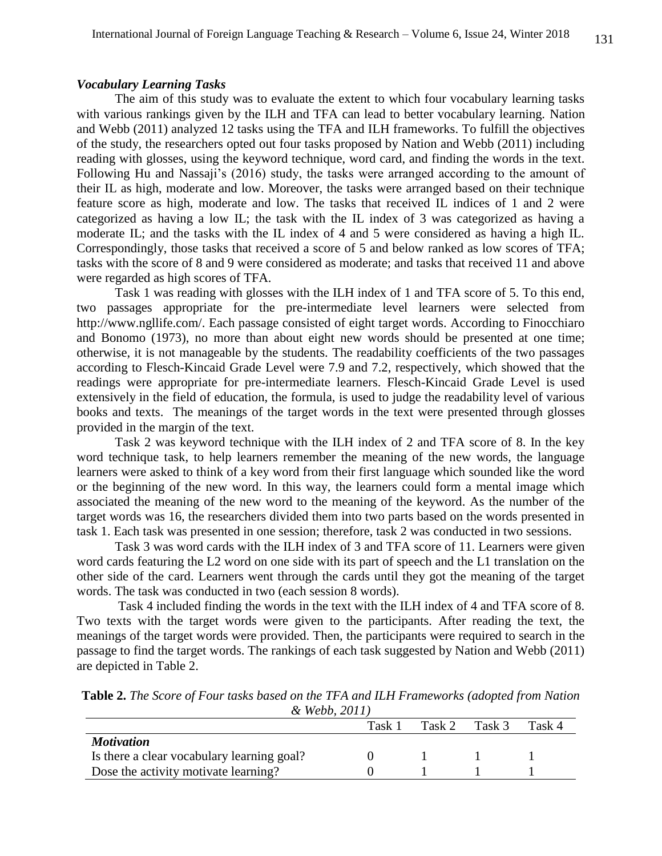# *Vocabulary Learning Tasks*

The aim of this study was to evaluate the extent to which four vocabulary learning tasks with various rankings given by the ILH and TFA can lead to better vocabulary learning. Nation and Webb (2011) analyzed 12 tasks using the TFA and ILH frameworks. To fulfill the objectives of the study, the researchers opted out four tasks proposed by Nation and Webb (2011) including reading with glosses, using the keyword technique, word card, and finding the words in the text. Following Hu and Nassaji's (2016) study, the tasks were arranged according to the amount of their IL as high, moderate and low. Moreover, the tasks were arranged based on their technique feature score as high, moderate and low. The tasks that received IL indices of 1 and 2 were categorized as having a low IL; the task with the IL index of 3 was categorized as having a moderate IL; and the tasks with the IL index of 4 and 5 were considered as having a high IL. Correspondingly, those tasks that received a score of 5 and below ranked as low scores of TFA; tasks with the score of 8 and 9 were considered as moderate; and tasks that received 11 and above were regarded as high scores of TFA.

Task 1 was reading with glosses with the ILH index of 1 and TFA score of 5. To this end, two passages appropriate for the pre-intermediate level learners were selected from [http://www.ngllife.com/.](http://www.ngllife.com/) Each passage consisted of eight target words. According to Finocchiaro and Bonomo (1973), no more than about eight new words should be presented at one time; otherwise, it is not manageable by the students. The readability coefficients of the two passages according to Flesch-Kincaid Grade Level were 7.9 and 7.2, respectively, which showed that the readings were appropriate for pre-intermediate learners. Flesch-Kincaid Grade Level is used extensively in the field of education, the formula, is used to judge the readability level of various books and texts. The meanings of the target words in the text were presented through glosses provided in the margin of the text.

Task 2 was keyword technique with the ILH index of 2 and TFA score of 8. In the key word technique task, to help learners remember the meaning of the new words, the language learners were asked to think of a key word from their first language which sounded like the word or the beginning of the new word. In this way, the learners could form a mental image which associated the meaning of the new word to the meaning of the keyword. As the number of the target words was 16, the researchers divided them into two parts based on the words presented in task 1. Each task was presented in one session; therefore, task 2 was conducted in two sessions.

Task 3 was word cards with the ILH index of 3 and TFA score of 11. Learners were given word cards featuring the L2 word on one side with its part of speech and the L1 translation on the other side of the card. Learners went through the cards until they got the meaning of the target words. The task was conducted in two (each session 8 words).

Task 4 included finding the words in the text with the ILH index of 4 and TFA score of 8. Two texts with the target words were given to the participants. After reading the text, the meanings of the target words were provided. Then, the participants were required to search in the passage to find the target words. The rankings of each task suggested by Nation and Webb (2011) are depicted in Table 2.

| Table 2. The Score of Four tasks based on the TFA and ILH Frameworks (adopted from Nation |  |
|-------------------------------------------------------------------------------------------|--|
| & Webb, 2011)                                                                             |  |

|                                            | Task 1 | Task 2 | Task 3 | Task 4 |
|--------------------------------------------|--------|--------|--------|--------|
| <i><b>Motivation</b></i>                   |        |        |        |        |
| Is there a clear vocabulary learning goal? |        |        |        |        |
| Dose the activity motivate learning?       |        |        |        |        |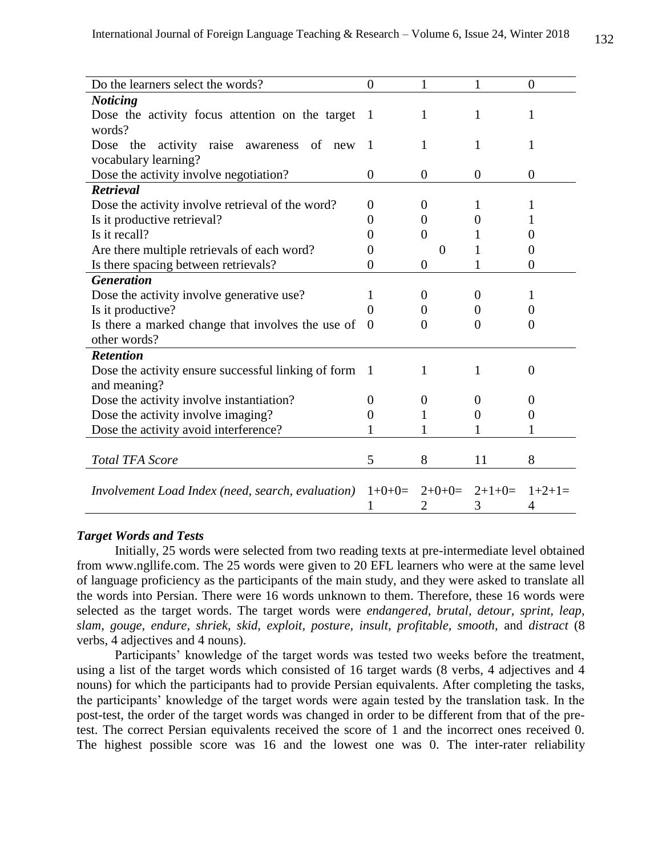| Do the learners select the words?                       | $\theta$          | 1                          | 1        | $\overline{0}$    |
|---------------------------------------------------------|-------------------|----------------------------|----------|-------------------|
| <b>Noticing</b>                                         |                   |                            |          |                   |
| Dose the activity focus attention on the target         | $\mathbf{1}$      | 1                          | 1        | 1                 |
| words?                                                  |                   |                            |          |                   |
| activity<br>the<br>raise awareness<br>Dose<br>of<br>new | $\overline{1}$    | 1                          | 1        | 1                 |
| vocabulary learning?                                    |                   |                            |          |                   |
| Dose the activity involve negotiation?                  | $\theta$          | $\theta$                   | 0        | $\overline{0}$    |
| <b>Retrieval</b>                                        |                   |                            |          |                   |
| Dose the activity involve retrieval of the word?        | $\Omega$          | $\theta$                   | 1        | 1                 |
| Is it productive retrieval?                             | $\mathbf{0}$      | $\Omega$                   | 0        |                   |
| Is it recall?                                           | $\mathbf{\Omega}$ | $\Omega$                   |          |                   |
| Are there multiple retrievals of each word?             | 0                 | $\Omega$                   |          | 0                 |
| Is there spacing between retrievals?                    | 0                 | $\Omega$                   | 1        | $\Omega$          |
| <b>Generation</b>                                       |                   |                            |          |                   |
| Dose the activity involve generative use?               |                   | $\Omega$                   | $\theta$ |                   |
| Is it productive?                                       |                   | $\mathbf{0}$               | 0        |                   |
| Is there a marked change that involves the use of       | $\Omega$          | 0                          | $\Omega$ | $\Omega$          |
| other words?                                            |                   |                            |          |                   |
| <b>Retention</b>                                        |                   |                            |          |                   |
| Dose the activity ensure successful linking of form     | $\mathbf{1}$      | 1                          | 1        | $\Omega$          |
| and meaning?                                            |                   |                            |          |                   |
| Dose the activity involve instantiation?                | $\theta$          | $\theta$                   | $\theta$ | $\mathbf{\Omega}$ |
| Dose the activity involve imaging?                      | 0                 | 1                          | 0        | $\theta$          |
| Dose the activity avoid interference?                   |                   |                            | 1        |                   |
|                                                         |                   |                            |          |                   |
| <b>Total TFA Score</b>                                  | 5                 | 8                          | 11       | 8                 |
|                                                         |                   |                            |          |                   |
| Involvement Load Index (need, search, evaluation)       |                   | $1+0+0=$ $2+0+0=$ $2+1+0=$ |          | $1+2+1=$          |
|                                                         |                   | 2                          | 3        | 4                 |

# *Target Words and Tests*

Initially, 25 words were selected from two reading texts at pre-intermediate level obtained from www.ngllife.com. The 25 words were given to 20 EFL learners who were at the same level of language proficiency as the participants of the main study, and they were asked to translate all the words into Persian. There were 16 words unknown to them. Therefore, these 16 words were selected as the target words. The target words were *endangered, brutal, detour, sprint, leap, slam, gouge, endure, shriek, skid, exploit, posture, insult, profitable, smooth,* and *distract* (8 verbs, 4 adjectives and 4 nouns).

Participants' knowledge of the target words was tested two weeks before the treatment, using a list of the target words which consisted of 16 target wards (8 verbs, 4 adjectives and 4 nouns) for which the participants had to provide Persian equivalents. After completing the tasks, the participants' knowledge of the target words were again tested by the translation task. In the post-test, the order of the target words was changed in order to be different from that of the pretest. The correct Persian equivalents received the score of 1 and the incorrect ones received 0. The highest possible score was 16 and the lowest one was 0. The inter-rater reliability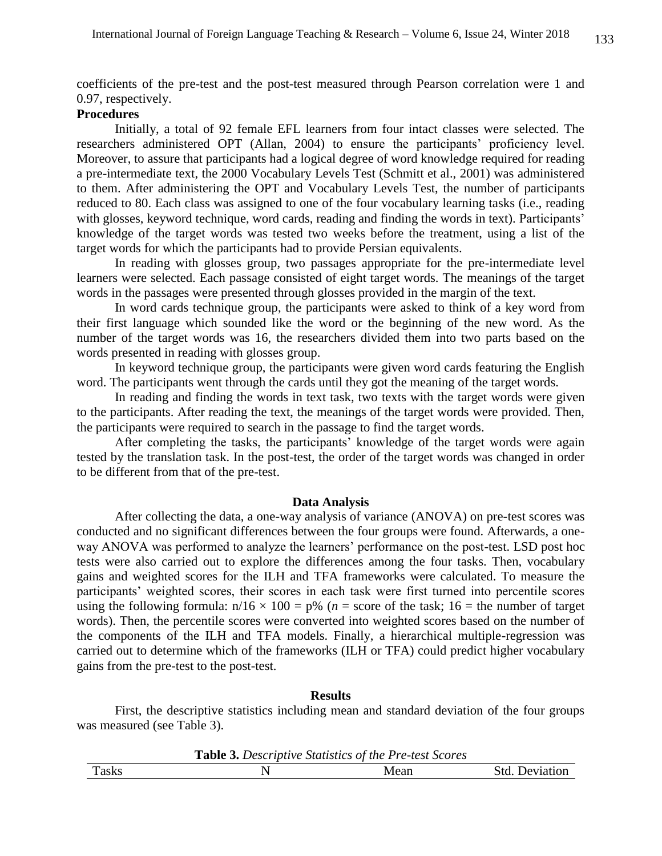coefficients of the pre-test and the post-test measured through Pearson correlation were 1 and 0.97, respectively.

# **Procedures**

Initially, a total of 92 female EFL learners from four intact classes were selected. The researchers administered OPT (Allan, 2004) to ensure the participants' proficiency level. Moreover, to assure that participants had a logical degree of word knowledge required for reading a pre-intermediate text, the 2000 Vocabulary Levels Test (Schmitt et al., 2001) was administered to them. After administering the OPT and Vocabulary Levels Test, the number of participants reduced to 80. Each class was assigned to one of the four vocabulary learning tasks (i.e., reading with glosses, keyword technique, word cards, reading and finding the words in text). Participants' knowledge of the target words was tested two weeks before the treatment, using a list of the target words for which the participants had to provide Persian equivalents.

In reading with glosses group, two passages appropriate for the pre-intermediate level learners were selected. Each passage consisted of eight target words. The meanings of the target words in the passages were presented through glosses provided in the margin of the text.

In word cards technique group, the participants were asked to think of a key word from their first language which sounded like the word or the beginning of the new word. As the number of the target words was 16, the researchers divided them into two parts based on the words presented in reading with glosses group.

In keyword technique group, the participants were given word cards featuring the English word. The participants went through the cards until they got the meaning of the target words.

In reading and finding the words in text task, two texts with the target words were given to the participants. After reading the text, the meanings of the target words were provided. Then, the participants were required to search in the passage to find the target words.

After completing the tasks, the participants' knowledge of the target words were again tested by the translation task. In the post-test, the order of the target words was changed in order to be different from that of the pre-test.

# **Data Analysis**

After collecting the data, a one-way analysis of variance (ANOVA) on pre-test scores was conducted and no significant differences between the four groups were found. Afterwards, a oneway ANOVA was performed to analyze the learners' performance on the post-test. LSD post hoc tests were also carried out to explore the differences among the four tasks. Then, vocabulary gains and weighted scores for the ILH and TFA frameworks were calculated. To measure the participants' weighted scores, their scores in each task were first turned into percentile scores using the following formula:  $n/16 \times 100 = p\%$  ( $n =$  score of the task;  $16 =$  the number of target words). Then, the percentile scores were converted into weighted scores based on the number of the components of the ILH and TFA models. Finally, a hierarchical multiple-regression was carried out to determine which of the frameworks (ILH or TFA) could predict higher vocabulary gains from the pre-test to the post-test.

#### **Results**

First, the descriptive statistics including mean and standard deviation of the four groups was measured (see Table 3).

|              | <b>Table 3.</b> Descriptive Statistics of the Pre-test Scores |      |                       |
|--------------|---------------------------------------------------------------|------|-----------------------|
| <b>Tasks</b> |                                                               | Mean | <b>Std.</b> Deviation |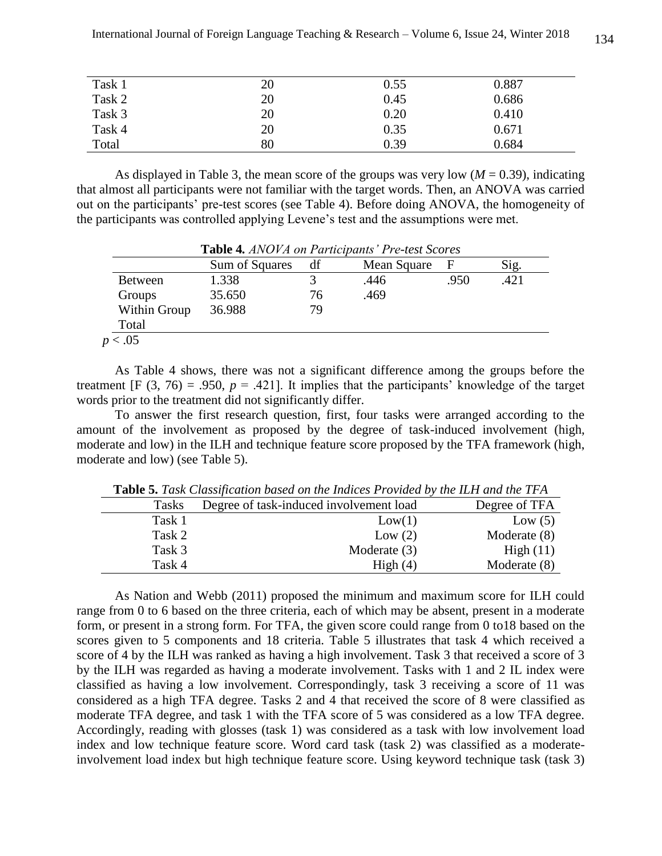| Task 1 | 20 | 0.55 | 0.887 |
|--------|----|------|-------|
| Task 2 | 20 | 0.45 | 0.686 |
| Task 3 | 20 | 0.20 | 0.410 |
| Task 4 | 20 | 0.35 | 0.671 |
| Total  | 80 | 0.39 | 0.684 |

As displayed in Table 3, the mean score of the groups was very low  $(M = 0.39)$ , indicating that almost all participants were not familiar with the target words. Then, an ANOVA was carried out on the participants' pre-test scores (see Table 4). Before doing ANOVA, the homogeneity of the participants was controlled applying Levene's test and the assumptions were met.

|                | <b>Table T.</b> Through the anticipation of the test bedfes |    |             |      |      |  |  |
|----------------|-------------------------------------------------------------|----|-------------|------|------|--|--|
|                | Sum of Squares                                              | df | Mean Square |      | Sig. |  |  |
| <b>Between</b> | 1.338                                                       |    | .446        | .950 | .421 |  |  |
| Groups         | 35.650                                                      | 76 | .469        |      |      |  |  |
| Within Group   | 36.988                                                      | 79 |             |      |      |  |  |
| Total          |                                                             |    |             |      |      |  |  |
| p < .05        |                                                             |    |             |      |      |  |  |

**Table 4***. ANOVA on Participants' Pre-test Scores*

As Table 4 shows, there was not a significant difference among the groups before the treatment  $[F (3, 76) = .950, p = .421]$ . It implies that the participants' knowledge of the target words prior to the treatment did not significantly differ.

To answer the first research question, first, four tasks were arranged according to the amount of the involvement as proposed by the degree of task-induced involvement (high, moderate and low) in the ILH and technique feature score proposed by the TFA framework (high, moderate and low) (see Table 5).

|              | <b>THEIR CONSTRUCTION CONCRETE THE TRANSPORT FOR THE THAT WHICH THE TIME</b> |                |
|--------------|------------------------------------------------------------------------------|----------------|
| <b>Tasks</b> | Degree of task-induced involvement load                                      | Degree of TFA  |
| Task 1       | Low(1)                                                                       | Low $(5)$      |
| Task 2       | Low $(2)$                                                                    | Moderate (8)   |
| Task 3       | Moderate $(3)$                                                               | High $(11)$    |
| Task 4       | High $(4)$                                                                   | Moderate $(8)$ |

**Table 5.** *Task Classification based on the Indices Provided by the ILH and the TFA*

As Nation and Webb (2011) proposed the minimum and maximum score for ILH could range from 0 to 6 based on the three criteria, each of which may be absent, present in a moderate form, or present in a strong form. For TFA, the given score could range from 0 to18 based on the scores given to 5 components and 18 criteria. Table 5 illustrates that task 4 which received a score of 4 by the ILH was ranked as having a high involvement. Task 3 that received a score of 3 by the ILH was regarded as having a moderate involvement. Tasks with 1 and 2 IL index were classified as having a low involvement. Correspondingly, task 3 receiving a score of 11 was considered as a high TFA degree. Tasks 2 and 4 that received the score of 8 were classified as moderate TFA degree, and task 1 with the TFA score of 5 was considered as a low TFA degree. Accordingly, reading with glosses (task 1) was considered as a task with low involvement load index and low technique feature score. Word card task (task 2) was classified as a moderateinvolvement load index but high technique feature score. Using keyword technique task (task 3)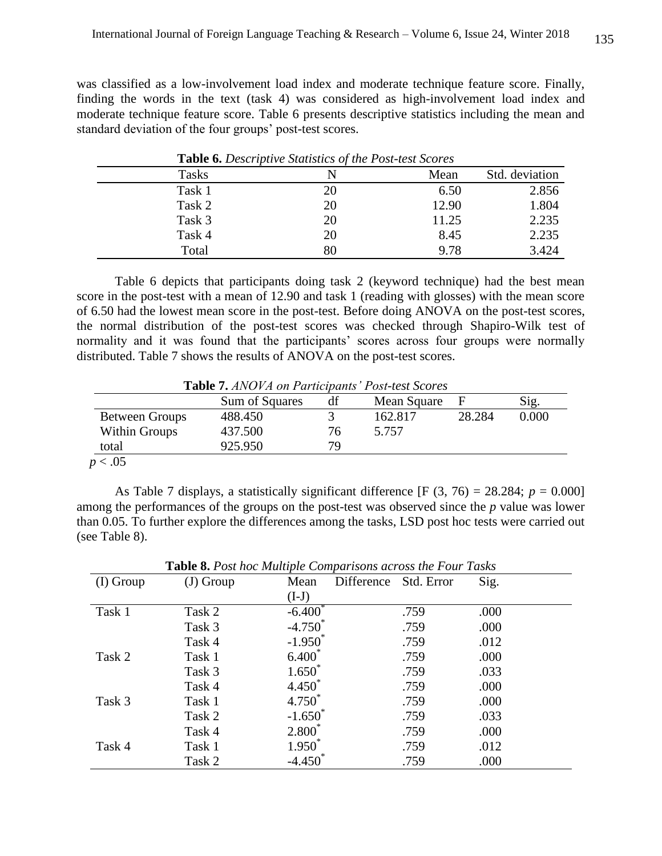was classified as a low-involvement load index and moderate technique feature score. Finally, finding the words in the text (task 4) was considered as high-involvement load index and moderate technique feature score. Table 6 presents descriptive statistics including the mean and standard deviation of the four groups' post-test scores.

|        | <b>Lable 0.</b> Descriptive statistics of the 1 ost-test Scores |       |                |  |  |  |
|--------|-----------------------------------------------------------------|-------|----------------|--|--|--|
| Tasks  |                                                                 | Mean  | Std. deviation |  |  |  |
| Task 1 | 20                                                              | 6.50  | 2.856          |  |  |  |
| Task 2 | 20                                                              | 12.90 | 1.804          |  |  |  |
| Task 3 | 20                                                              | 11.25 | 2.235          |  |  |  |
| Task 4 | 20                                                              | 8.45  | 2.235          |  |  |  |
| Total  | 80                                                              | 9.78  | 3.424          |  |  |  |

**Table 6.** *Descriptive Statistics of the Post-test Scores*

Table 6 depicts that participants doing task 2 (keyword technique) had the best mean score in the post-test with a mean of 12.90 and task 1 (reading with glosses) with the mean score of 6.50 had the lowest mean score in the post-test. Before doing ANOVA on the post-test scores, the normal distribution of the post-test scores was checked through Shapiro-Wilk test of normality and it was found that the participants' scores across four groups were normally distributed. Table 7 shows the results of ANOVA on the post-test scores.

**Table 7.** *ANOVA on Participants' Post-test Scores*

|                      | Sum of Squares | df | Mean Square |        | Sig.  |
|----------------------|----------------|----|-------------|--------|-------|
| Between Groups       | 488.450        |    | 162.817     | 28.284 | 0.000 |
| <b>Within Groups</b> | 437.500        | 76 | 5.757       |        |       |
| total                | 925.950        | 79 |             |        |       |

 $p < .05$ 

As Table 7 displays, a statistically significant difference  $[F (3, 76) = 28.284; p = 0.000]$ among the performances of the groups on the post-test was observed since the *p* value was lower than 0.05. To further explore the differences among the tasks, LSD post hoc tests were carried out (see Table 8).

|             | <b>Table 8.</b> Post hoc Multiple Comparisons across the Four Tasks |                    |                       |      |      |  |
|-------------|---------------------------------------------------------------------|--------------------|-----------------------|------|------|--|
| $(I)$ Group | $(J)$ Group                                                         | Mean               | Difference Std. Error |      | Sig. |  |
|             |                                                                     | $(I-J)$            |                       |      |      |  |
| Task 1      | Task 2                                                              | $-6.400^{\degree}$ |                       | .759 | .000 |  |
|             | Task 3                                                              | $-4.750^*$         |                       | .759 | .000 |  |
|             | Task 4                                                              | $-1.950^*$         |                       | .759 | .012 |  |
| Task 2      | Task 1                                                              | $6.400^*$          |                       | .759 | .000 |  |
|             | Task 3                                                              | $1.650^*$          |                       | .759 | .033 |  |
|             | Task 4                                                              | $4.450^*$          |                       | .759 | .000 |  |
| Task 3      | Task 1                                                              | $4.750^*$          |                       | .759 | .000 |  |
|             | Task 2                                                              | $-1.650^{\degree}$ |                       | .759 | .033 |  |
|             | Task 4                                                              | $2.800^*$          |                       | .759 | .000 |  |
| Task 4      | Task 1                                                              | $1.950^*$          |                       | .759 | .012 |  |
|             | Task 2                                                              | $-4.450$           |                       | .759 | .000 |  |

**Table 8.** *Post hoc Multiple Comparisons across the Four Tasks*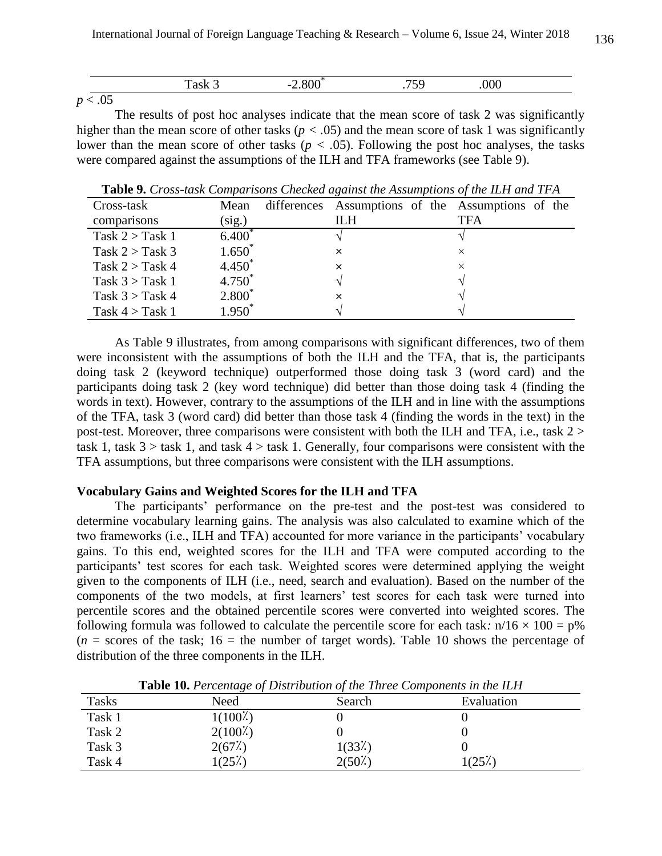|             |  | $\sim$ |  |
|-------------|--|--------|--|
| <b>TOMA</b> |  |        |  |

The results of post hoc analyses indicate that the mean score of task 2 was significantly higher than the mean score of other tasks ( $p < .05$ ) and the mean score of task 1 was significantly lower than the mean score of other tasks ( $p < .05$ ). Following the post hoc analyses, the tasks were compared against the assumptions of the ILH and TFA frameworks (see Table 9).

**Table 9.** *Cross-task Comparisons Checked against the Assumptions of the ILH and TFA*

| Cross-task        | Mean        | differences Assumptions of the Assumptions of the |     |
|-------------------|-------------|---------------------------------------------------|-----|
| comparisons       | (sig.)      | ILН                                               | TFA |
| Task $2 >$ Task 1 | $6.400^{1}$ |                                                   |     |
| Task $2 >$ Task 3 | $1.650^*$   | ×                                                 |     |
| Task $2 >$ Task 4 | $4.450*$    | x                                                 | X   |
| Task $3 >$ Task 1 | $4.750^{*}$ |                                                   |     |
| Task $3 >$ Task 4 | $2.800*$    | x                                                 |     |
| Task $4 >$ Task 1 | $1.950^*$   |                                                   |     |

As Table 9 illustrates, from among comparisons with significant differences, two of them were inconsistent with the assumptions of both the ILH and the TFA, that is, the participants doing task 2 (keyword technique) outperformed those doing task 3 (word card) and the participants doing task 2 (key word technique) did better than those doing task 4 (finding the words in text). However, contrary to the assumptions of the ILH and in line with the assumptions of the TFA, task 3 (word card) did better than those task 4 (finding the words in the text) in the post-test. Moreover, three comparisons were consistent with both the ILH and TFA, i.e., task 2 > task 1, task  $3 >$  task 1, and task  $4 >$  task 1. Generally, four comparisons were consistent with the TFA assumptions, but three comparisons were consistent with the ILH assumptions.

# **Vocabulary Gains and Weighted Scores for the ILH and TFA**

The participants' performance on the pre-test and the post-test was considered to determine vocabulary learning gains. The analysis was also calculated to examine which of the two frameworks (i.e., ILH and TFA) accounted for more variance in the participants' vocabulary gains. To this end, weighted scores for the ILH and TFA were computed according to the participants' test scores for each task. Weighted scores were determined applying the weight given to the components of ILH (i.e., need, search and evaluation). Based on the number of the components of the two models, at first learners' test scores for each task were turned into percentile scores and the obtained percentile scores were converted into weighted scores. The following formula was followed to calculate the percentile score for each task:  $n/16 \times 100 = p\%$  $(n = \text{scores of the task}; 16 = \text{the number of target words})$ . Table 10 shows the percentage of distribution of the three components in the ILH.

| Tasks  | Need       | Search              | Evaluation |
|--------|------------|---------------------|------------|
| Task 1 | $1(100\%)$ |                     |            |
| Task 2 | $2(100\%)$ |                     |            |
| Task 3 | 2(67%)     | 1(33 <sup>2</sup> ) |            |
| Task 4 | $(25\%)$   | $2(50\%)$           | $1(25\%)$  |

**Table 10.** *Percentage of Distribution of the Three Components in the ILH*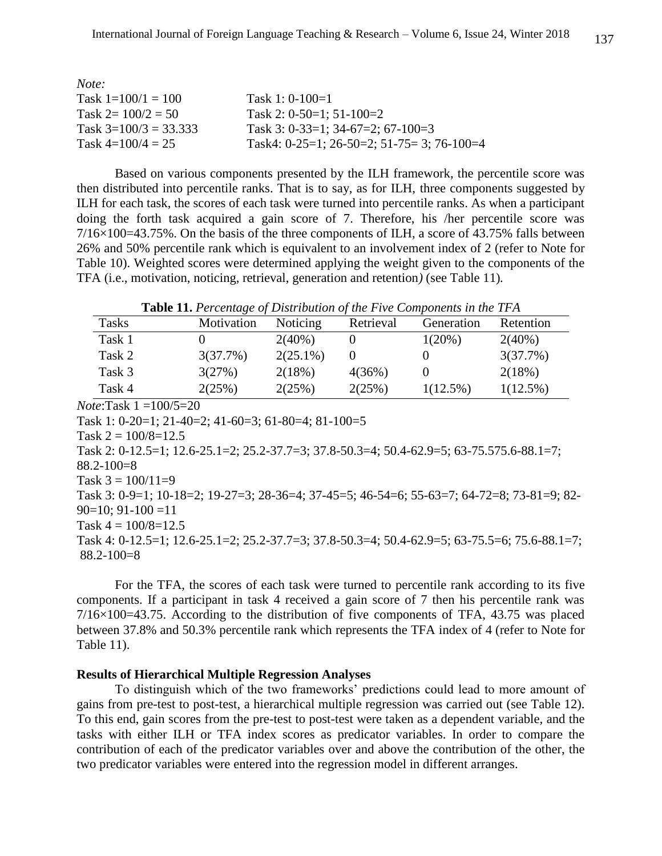| Note:                 |                                                      |
|-----------------------|------------------------------------------------------|
| Task $1=100/1=100$    | Task 1: $0-100=1$                                    |
| Task $2 = 100/2 = 50$ | Task 2: $0-50=1$ ; $51-100=2$                        |
| Task $3=100/3=33.333$ | Task 3: $0-33=1$ ; $34-67=2$ ; $67-100=3$            |
| Task $4=100/4=25$     | Task4: $0-25=1$ ; $26-50=2$ ; $51-75=3$ ; $76-100=4$ |

Based on various components presented by the ILH framework, the percentile score was then distributed into percentile ranks. That is to say, as for ILH, three components suggested by ILH for each task, the scores of each task were turned into percentile ranks. As when a participant doing the forth task acquired a gain score of 7. Therefore, his /her percentile score was  $7/16 \times 100 = 43.75\%$ . On the basis of the three components of ILH, a score of 43.75% falls between 26% and 50% percentile rank which is equivalent to an involvement index of 2 (refer to Note for Table 10). Weighted scores were determined applying the weight given to the components of the TFA (i.e., motivation, noticing, retrieval, generation and retention*)* (see Table 11)*.*

**Table 11.** *Percentage of Distribution of the Five Components in the TFA*

| <b>Tasks</b> | Motivation | Noticing    | Retrieval | Generation  | Retention   |
|--------------|------------|-------------|-----------|-------------|-------------|
| Task 1       |            | $2(40\%)$   |           | $1(20\%)$   | $2(40\%)$   |
| Task 2       | 3(37.7%)   | $2(25.1\%)$ |           |             | 3(37.7%)    |
| Task 3       | 3(27%)     | 2(18%)      | 4(36%)    |             | 2(18%)      |
| Task 4       | 2(25%)     | 2(25%)      | 2(25%)    | $1(12.5\%)$ | $1(12.5\%)$ |
| $\sqrt{1}$   | 10015.20   |             |           |             |             |

*Note*:Task 1 =100/5=20

Task 1: 0-20=1; 21-40=2; 41-60=3; 61-80=4; 81-100=5

Task  $2 = 100/8 = 12.5$ 

Task 2: 0-12.5=1; 12.6-25.1=2; 25.2-37.7=3; 37.8-50.3=4; 50.4-62.9=5; 63-75.575.6-88.1=7;  $88.2 - 100 = 8$ 

Task  $3 = 100/11=9$ 

Task 3: 0-9=1; 10-18=2; 19-27=3; 28-36=4; 37-45=5; 46-54=6; 55-63=7; 64-72=8; 73-81=9; 82-  $90=10$ ;  $91-100=11$ 

Task  $4 = 100/8 = 12.5$ 

Task 4: 0-12.5=1; 12.6-25.1=2; 25.2-37.7=3; 37.8-50.3=4; 50.4-62.9=5; 63-75.5=6; 75.6-88.1=7; 88.2-100=8

For the TFA, the scores of each task were turned to percentile rank according to its five components. If a participant in task 4 received a gain score of 7 then his percentile rank was  $7/16 \times 100 = 43.75$ . According to the distribution of five components of TFA, 43.75 was placed between 37.8% and 50.3% percentile rank which represents the TFA index of 4 (refer to Note for Table 11).

# **Results of Hierarchical Multiple Regression Analyses**

To distinguish which of the two frameworks' predictions could lead to more amount of gains from pre-test to post-test, a hierarchical multiple regression was carried out (see Table 12). To this end, gain scores from the pre-test to post-test were taken as a dependent variable, and the tasks with either ILH or TFA index scores as predicator variables. In order to compare the contribution of each of the predicator variables over and above the contribution of the other, the two predicator variables were entered into the regression model in different arranges.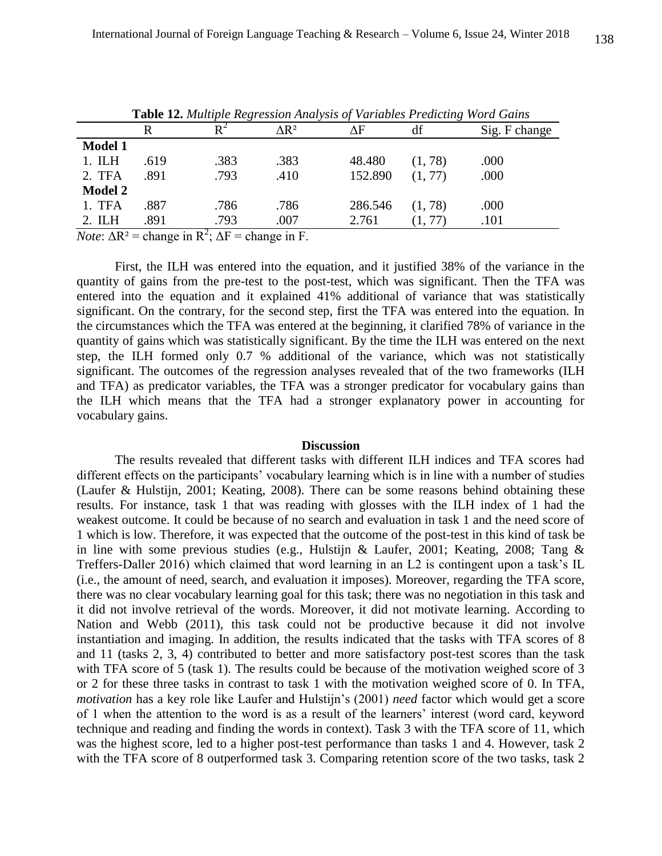|                |      |                |                         | <b>Table 12.</b> Muniped Regression Than (sis of variables 1 realiting word Gams |         |               |
|----------------|------|----------------|-------------------------|----------------------------------------------------------------------------------|---------|---------------|
|                |      | $\mathbf{R}^2$ | $\Delta$ R <sup>2</sup> | ΔF                                                                               | df      | Sig. F change |
| <b>Model 1</b> |      |                |                         |                                                                                  |         |               |
| 1. I L H       | .619 | .383           | .383                    | 48.480                                                                           | (1, 78) | .000          |
| 2. TFA         | .891 | .793           | .410                    | 152.890                                                                          | (1, 77) | .000          |
| <b>Model 2</b> |      |                |                         |                                                                                  |         |               |
| 1. TFA         | .887 | .786           | .786                    | 286.546                                                                          | (1, 78) | .000          |
| 2. ILH         | .891 | .793           | .007                    | 2.761                                                                            | (1, 77) | .101          |
|                |      |                |                         |                                                                                  |         |               |

**Table 12.** *Multiple Regression Analysis of Variables Predicting Word Gains*

*Note*:  $\Delta R^2$  = change in  $R^2$ ;  $\Delta F$  = change in F.

First, the ILH was entered into the equation, and it justified 38% of the variance in the quantity of gains from the pre-test to the post-test, which was significant. Then the TFA was entered into the equation and it explained 41% additional of variance that was statistically significant. On the contrary, for the second step, first the TFA was entered into the equation. In the circumstances which the TFA was entered at the beginning, it clarified 78% of variance in the quantity of gains which was statistically significant. By the time the ILH was entered on the next step, the ILH formed only 0.7 % additional of the variance, which was not statistically significant. The outcomes of the regression analyses revealed that of the two frameworks (ILH and TFA) as predicator variables, the TFA was a stronger predicator for vocabulary gains than the ILH which means that the TFA had a stronger explanatory power in accounting for vocabulary gains.

#### **Discussion**

The results revealed that different tasks with different ILH indices and TFA scores had different effects on the participants' vocabulary learning which is in line with a number of studies (Laufer & Hulstijn, 2001; Keating, 2008). There can be some reasons behind obtaining these results. For instance, task 1 that was reading with glosses with the ILH index of 1 had the weakest outcome. It could be because of no search and evaluation in task 1 and the need score of 1 which is low. Therefore, it was expected that the outcome of the post-test in this kind of task be in line with some previous studies (e.g., Hulstijn & Laufer, 2001; Keating, 2008; Tang & Treffers-Daller 2016) which claimed that word learning in an L2 is contingent upon a task's IL (i.e., the amount of need, search, and evaluation it imposes). Moreover, regarding the TFA score, there was no clear vocabulary learning goal for this task; there was no negotiation in this task and it did not involve retrieval of the words. Moreover, it did not motivate learning. According to Nation and Webb (2011), this task could not be productive because it did not involve instantiation and imaging. In addition, the results indicated that the tasks with TFA scores of 8 and 11 (tasks 2, 3, 4) contributed to better and more satisfactory post-test scores than the task with TFA score of 5 (task 1). The results could be because of the motivation weighed score of 3 or 2 for these three tasks in contrast to task 1 with the motivation weighed score of 0. In TFA, *motivation* has a key role like Laufer and Hulstijn's (2001) *need* factor which would get a score of 1 when the attention to the word is as a result of the learners' interest (word card, keyword technique and reading and finding the words in context). Task 3 with the TFA score of 11, which was the highest score, led to a higher post-test performance than tasks 1 and 4. However, task 2 with the TFA score of 8 outperformed task 3. Comparing retention score of the two tasks, task 2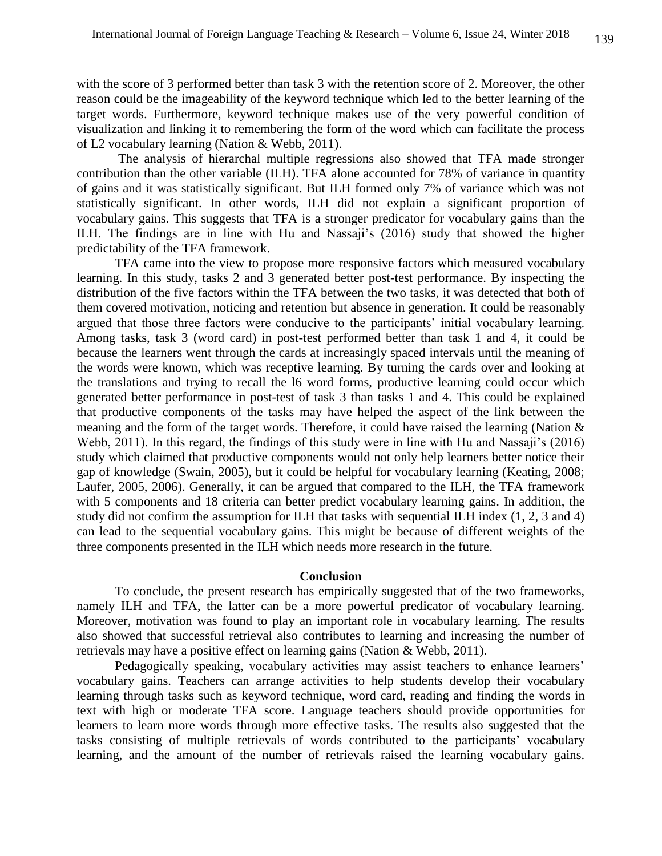with the score of 3 performed better than task 3 with the retention score of 2. Moreover, the other reason could be the imageability of the keyword technique which led to the better learning of the target words. Furthermore, keyword technique makes use of the very powerful condition of visualization and linking it to remembering the form of the word which can facilitate the process of L2 vocabulary learning (Nation & Webb, 2011).

The analysis of hierarchal multiple regressions also showed that TFA made stronger contribution than the other variable (ILH). TFA alone accounted for 78% of variance in quantity of gains and it was statistically significant. But ILH formed only 7% of variance which was not statistically significant. In other words, ILH did not explain a significant proportion of vocabulary gains. This suggests that TFA is a stronger predicator for vocabulary gains than the ILH. The findings are in line with Hu and Nassaji's (2016) study that showed the higher predictability of the TFA framework.

TFA came into the view to propose more responsive factors which measured vocabulary learning. In this study, tasks 2 and 3 generated better post-test performance. By inspecting the distribution of the five factors within the TFA between the two tasks, it was detected that both of them covered motivation, noticing and retention but absence in generation. It could be reasonably argued that those three factors were conducive to the participants' initial vocabulary learning. Among tasks, task 3 (word card) in post-test performed better than task 1 and 4, it could be because the learners went through the cards at increasingly spaced intervals until the meaning of the words were known, which was receptive learning. By turning the cards over and looking at the translations and trying to recall the l6 word forms, productive learning could occur which generated better performance in post-test of task 3 than tasks 1 and 4. This could be explained that productive components of the tasks may have helped the aspect of the link between the meaning and the form of the target words. Therefore, it could have raised the learning (Nation & Webb, 2011). In this regard, the findings of this study were in line with Hu and Nassaji's (2016) study which claimed that productive components would not only help learners better notice their gap of knowledge (Swain, 2005), but it could be helpful for vocabulary learning (Keating, 2008; Laufer, 2005, 2006). Generally, it can be argued that compared to the ILH, the TFA framework with 5 components and 18 criteria can better predict vocabulary learning gains. In addition, the study did not confirm the assumption for ILH that tasks with sequential ILH index (1, 2, 3 and 4) can lead to the sequential vocabulary gains. This might be because of different weights of the three components presented in the ILH which needs more research in the future.

### **Conclusion**

To conclude, the present research has empirically suggested that of the two frameworks, namely ILH and TFA, the latter can be a more powerful predicator of vocabulary learning. Moreover, motivation was found to play an important role in vocabulary learning. The results also showed that successful retrieval also contributes to learning and increasing the number of retrievals may have a positive effect on learning gains (Nation & Webb, 2011).

Pedagogically speaking, vocabulary activities may assist teachers to enhance learners' vocabulary gains. Teachers can arrange activities to help students develop their vocabulary learning through tasks such as keyword technique, word card, reading and finding the words in text with high or moderate TFA score. Language teachers should provide opportunities for learners to learn more words through more effective tasks. The results also suggested that the tasks consisting of multiple retrievals of words contributed to the participants' vocabulary learning, and the amount of the number of retrievals raised the learning vocabulary gains.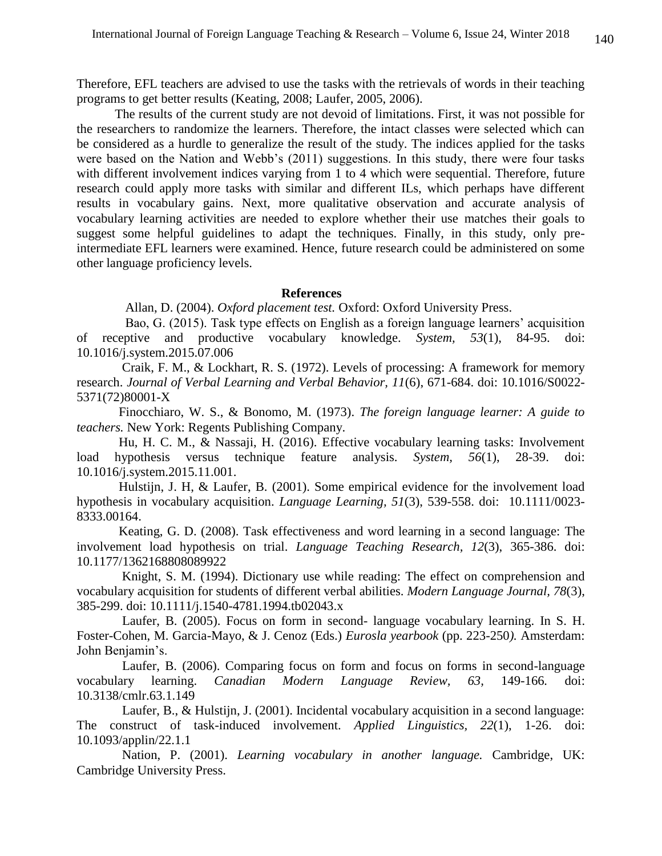Therefore, EFL teachers are advised to use the tasks with the retrievals of words in their teaching programs to get better results (Keating, 2008; Laufer, 2005, 2006).

The results of the current study are not devoid of limitations. First, it was not possible for the researchers to randomize the learners. Therefore, the intact classes were selected which can be considered as a hurdle to generalize the result of the study. The indices applied for the tasks were based on the Nation and Webb's (2011) suggestions. In this study, there were four tasks with different involvement indices varying from 1 to 4 which were sequential. Therefore, future research could apply more tasks with similar and different ILs, which perhaps have different results in vocabulary gains. Next, more qualitative observation and accurate analysis of vocabulary learning activities are needed to explore whether their use matches their goals to suggest some helpful guidelines to adapt the techniques. Finally, in this study, only preintermediate EFL learners were examined. Hence, future research could be administered on some other language proficiency levels.

### **References**

Allan, D. (2004). *Oxford placement test.* Oxford: Oxford University Press.

 Bao, G. (2015). Task type effects on English as a foreign language learners' acquisition of receptive and productive vocabulary knowledge. *System, 53*(1), 84-95. doi: [10.1016/j.system.2015.07.006](https://doi.org/10.1016/j.system.2015.07.006)

 Craik, F. M., & Lockhart, R. S. (1972). Levels of processing: A framework for memory research. *Journal of Verbal Learning and Verbal Behavior, 11*(6), 671-684. doi: [10.1016/S0022-](https://doi.org/10.1016/S0022-5371(72)80001-X) [5371\(72\)80001-X](https://doi.org/10.1016/S0022-5371(72)80001-X)

 Finocchiaro, W. S., & Bonomo, M. (1973). *The foreign language learner: A guide to teachers.* New York: Regents Publishing Company.

 Hu, H. C. M., & Nassaji, H. (2016). Effective vocabulary learning tasks: Involvement load hypothesis versus technique feature analysis. *System, 56*(1), 28-39. doi: [10.1016/j.system.2015.11.001.](https://doi.org/10.1016/j.system.2015.11.001)

 Hulstijn, J. H, & Laufer, B. (2001). Some empirical evidence for the involvement load hypothesis in vocabulary acquisition. *Language Learning, 51*(3), 539-558. doi: 10.1111/0023- 8333.00164.

 Keating, G. D. (2008). Task effectiveness and word learning in a second language: The involvement load hypothesis on trial. *Language Teaching Research, 12*(3), 365-386. doi: [10.1177/1362168808089922](https://doi.org/10.1177/1362168808089922)

 Knight, S. M. (1994). Dictionary use while reading: The effect on comprehension and vocabulary acquisition for students of different verbal abilities. *Modern Language Journal, 78*(3), 385-299. doi: 10.1111/j.1540-4781.1994.tb02043.x

 Laufer, B. (2005). Focus on form in second- language vocabulary learning. In S. H. Foster-Cohen, M. Garcia-Mayo, & J. Cenoz (Eds.) *Eurosla yearbook* (pp. 223-250*).* Amsterdam: John Benjamin's.

 Laufer, B. (2006). Comparing focus on form and focus on forms in second-language vocabulary learning. *Canadian Modern Language Review, 63,* 149-166*.* [doi:](https://doi.org/10.3138/cmlr.63.1.149)  [10.3138/cmlr.63.1.149](https://doi.org/10.3138/cmlr.63.1.149)

 Laufer, B., & Hulstijn, J. (2001). Incidental vocabulary acquisition in a second language: The construct of task-induced involvement. *Applied Linguistics, 22*(1), 1-26. [doi:](https://doi.org/10.1093/applin/22.1.1)  [10.1093/applin/22.1.1](https://doi.org/10.1093/applin/22.1.1)

 Nation, P. (2001). *Learning vocabulary in another language.* Cambridge, UK: Cambridge University Press.